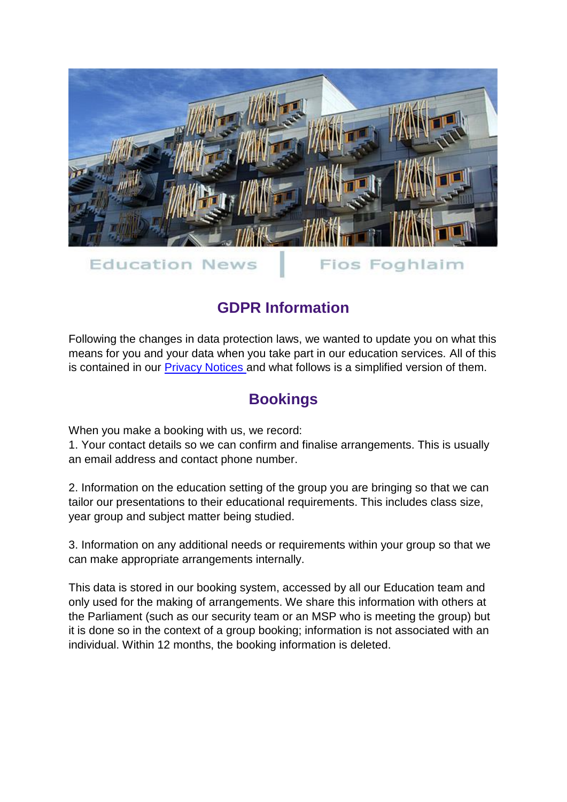

**Education News** 

Fios Foghlaim

## **GDPR Information**

Following the changes in data protection laws, we wanted to update you on what this means for you and your data when you take part in our education services. All of this is contained in our [Privacy Notices a](http://news.parliament.scot/linkapp/cmaStart.aspx?LinkID=pageid100571810zzznx~nttrxtrj~n~zqjrjr~z~f~f~jz9xnf~f)nd what follows is a simplified version of them.

## **Bookings**

When you make a booking with us, we record:

1. Your contact details so we can confirm and finalise arrangements. This is usually an email address and contact phone number.

2. Information on the education setting of the group you are bringing so that we can tailor our presentations to their educational requirements. This includes class size, year group and subject matter being studied.

3. Information on any additional needs or requirements within your group so that we can make appropriate arrangements internally.

This data is stored in our booking system, accessed by all our Education team and only used for the making of arrangements. We share this information with others at the Parliament (such as our security team or an MSP who is meeting the group) but it is done so in the context of a group booking; information is not associated with an individual. Within 12 months, the booking information is deleted.